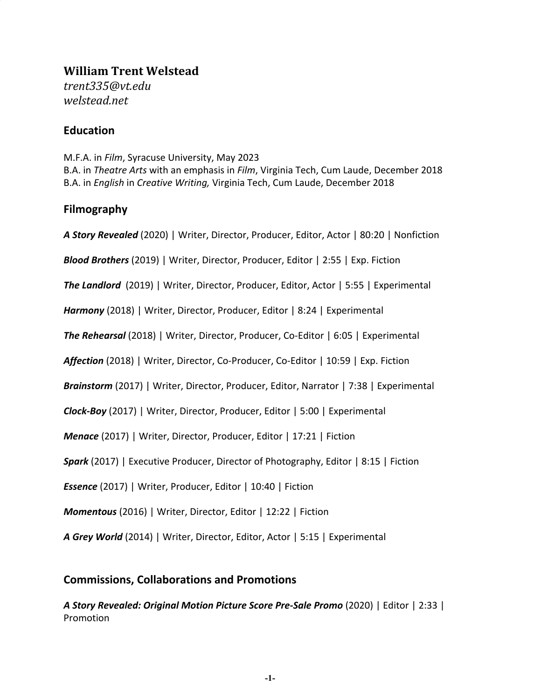# **William Trent Welstead**

*trent335@vt.edu welstead.net*

## **Education**

M.F.A. in *Film*, Syracuse University, May 2023 B.A. in *Theatre Arts* with an emphasis in *Film*, Virginia Tech, Cum Laude, December 2018 B.A. in *English* in *Creative Writing,* Virginia Tech, Cum Laude, December 2018

## **Filmography**

*A Story Revealed* (2020) | Writer, Director, Producer, Editor, Actor | 80:20 | Nonfiction

*Blood Brothers* (2019) | Writer, Director, Producer, Editor | 2:55 | Exp. Fiction

*The Landlord* (2019) | Writer, Director, Producer, Editor, Actor | 5:55 | Experimental

*Harmony* (2018) | Writer, Director, Producer, Editor | 8:24 | Experimental

*The Rehearsal* (2018) | Writer, Director, Producer, Co-Editor | 6:05 | Experimental

*Affection* (2018) | Writer, Director, Co-Producer, Co-Editor | 10:59 | Exp. Fiction

*Brainstorm* (2017) | Writer, Director, Producer, Editor, Narrator | 7:38 | Experimental

*Clock-Boy* (2017) | Writer, Director, Producer, Editor | 5:00 | Experimental

*Menace* (2017) | Writer, Director, Producer, Editor | 17:21 | Fiction

*Spark* (2017) | Executive Producer, Director of Photography, Editor | 8:15 | Fiction

*Essence* (2017) | Writer, Producer, Editor | 10:40 | Fiction

*Momentous* (2016) | Writer, Director, Editor | 12:22 | Fiction

*A Grey World* (2014) | Writer, Director, Editor, Actor | 5:15 | Experimental

## **Commissions, Collaborations and Promotions**

*A Story Revealed: Original Motion Picture Score Pre-Sale Promo* (2020) | Editor | 2:33 | Promotion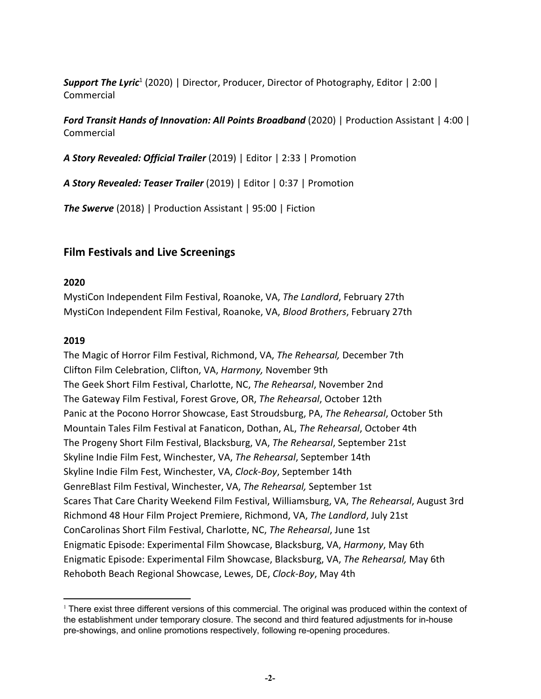**Support The Lyric<sup>1</sup>** (2020) | Director, Producer, Director of Photography, Editor | 2:00 | Commercial

*Ford Transit Hands of Innovation: All Points Broadband* (2020) | Production Assistant | 4:00 | Commercial

*A Story Revealed: Official Trailer* (2019) | Editor | 2:33 | Promotion

*A Story Revealed: Teaser Trailer* (2019) | Editor | 0:37 | Promotion

*The Swerve* (2018) | Production Assistant | 95:00 | Fiction

## **Film Festivals and Live Screenings**

#### **2020**

MystiCon Independent Film Festival, Roanoke, VA, *The Landlord*, February 27th MystiCon Independent Film Festival, Roanoke, VA, *Blood Brothers*, February 27th

#### **2019**

The Magic of Horror Film Festival, Richmond, VA, *The Rehearsal,* December 7th Clifton Film Celebration, Clifton, VA, *Harmony,* November 9th The Geek Short Film Festival, Charlotte, NC, *The Rehearsal*, November 2nd The Gateway Film Festival, Forest Grove, OR, *The Rehearsal*, October 12th Panic at the Pocono Horror Showcase, East Stroudsburg, PA, *The Rehearsal*, October 5th Mountain Tales Film Festival at Fanaticon, Dothan, AL, *The Rehearsal*, October 4th The Progeny Short Film Festival, Blacksburg, VA, *The Rehearsal*, September 21st Skyline Indie Film Fest, Winchester, VA, *The Rehearsal*, September 14th Skyline Indie Film Fest, Winchester, VA, *Clock-Boy*, September 14th GenreBlast Film Festival, Winchester, VA, *The Rehearsal,* September 1st Scares That Care Charity Weekend Film Festival, Williamsburg, VA, *The Rehearsal*, August 3rd Richmond 48 Hour Film Project Premiere, Richmond, VA, *The Landlord*, July 21st ConCarolinas Short Film Festival, Charlotte, NC, *The Rehearsal*, June 1st Enigmatic Episode: Experimental Film Showcase, Blacksburg, VA, *Harmony*, May 6th Enigmatic Episode: Experimental Film Showcase, Blacksburg, VA, *The Rehearsal,* May 6th Rehoboth Beach Regional Showcase, Lewes, DE, *Clock-Boy*, May 4th

<sup>&</sup>lt;sup>1</sup> There exist three different versions of this commercial. The original was produced within the context of the establishment under temporary closure. The second and third featured adjustments for in-house pre-showings, and online promotions respectively, following re-opening procedures.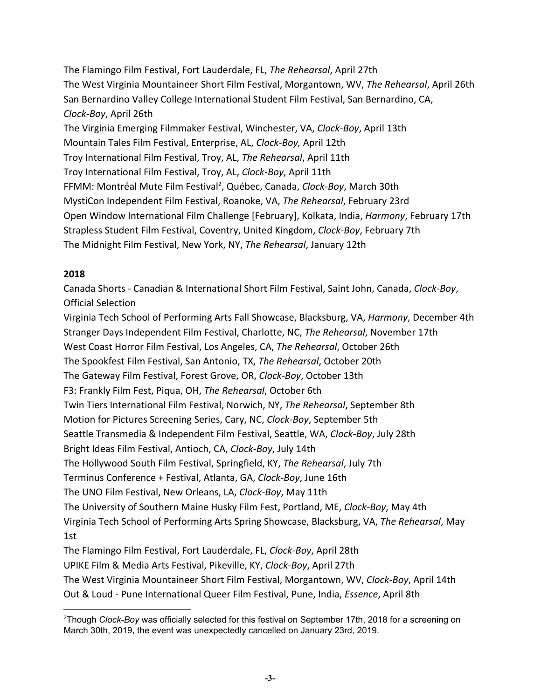The Flamingo Film Festival, Fort Lauderdale, FL, *The Rehearsal*, April 27th The West Virginia Mountaineer Short Film Festival, Morgantown, WV, *The Rehearsal*, April 26th San Bernardino Valley College International Student Film Festival, San Bernardino, CA, *Clock-Boy*, April 26th The Virginia Emerging Filmmaker Festival, Winchester, VA, *Clock-Boy*, April 13th Mountain Tales Film Festival, Enterprise, AL, *Clock-Boy,* April 12th Troy International Film Festival, Troy, AL, *The Rehearsal*, April 11th Troy International Film Festival, Troy, AL, *Clock-Boy*, April 11th FFMM: Montréal Mute Film Festival<sup>2</sup>, Québec, Canada, *Clock-Boy*, March 30th MystiCon Independent Film Festival, Roanoke, VA, *The Rehearsal*, February 23rd Open Window International Film Challenge [February], Kolkata, India, *Harmony*, February 17th Strapless Student Film Festival, Coventry, United Kingdom, *Clock-Boy*, February 7th The Midnight Film Festival, New York, NY, *The Rehearsal*, January 12th

## **2018**

Canada Shorts - Canadian & International Short Film Festival, Saint John, Canada, *Clock-Boy*, Official Selection

Virginia Tech School of Performing Arts Fall Showcase, Blacksburg, VA, *Harmony*, December 4th Stranger Days Independent Film Festival, Charlotte, NC, *The Rehearsal*, November 17th West Coast Horror Film Festival, Los Angeles, CA, *The Rehearsal*, October 26th The Spookfest Film Festival, San Antonio, TX, *The Rehearsal*, October 20th The Gateway Film Festival, Forest Grove, OR, *Clock-Boy*, October 13th F3: Frankly Film Fest, Piqua, OH, *The Rehearsal*, October 6th Twin Tiers International Film Festival, Norwich, NY, *The Rehearsal*, September 8th Motion for Pictures Screening Series, Cary, NC, *Clock-Boy*, September 5th Seattle Transmedia & Independent Film Festival, Seattle, WA, *Clock-Boy*, July 28th Bright Ideas Film Festival, Antioch, CA, *Clock-Boy*, July 14th The Hollywood South Film Festival, Springfield, KY, *The Rehearsal*, July 7th Terminus Conference + Festival, Atlanta, GA, *Clock-Boy*, June 16th The UNO Film Festival, New Orleans, LA, *Clock-Boy*, May 11th The University of Southern Maine Husky Film Fest, Portland, ME, *Clock-Boy*, May 4th Virginia Tech School of Performing Arts Spring Showcase, Blacksburg, VA, *The Rehearsal*, May 1st The Flamingo Film Festival, Fort Lauderdale, FL, *Clock-Boy*, April 28th UPIKE Film & Media Arts Festival, Pikeville, KY, *Clock-Boy*, April 27th

The West Virginia Mountaineer Short Film Festival, Morgantown, WV, *Clock-Boy*, April 14th Out & Loud - Pune International Queer Film Festival, Pune, India, *Essence*, April 8th

<sup>2</sup>Though *Clock-Boy* was officially selected for this festival on September 17th, 2018 for a screening on March 30th, 2019, the event was unexpectedly cancelled on January 23rd, 2019.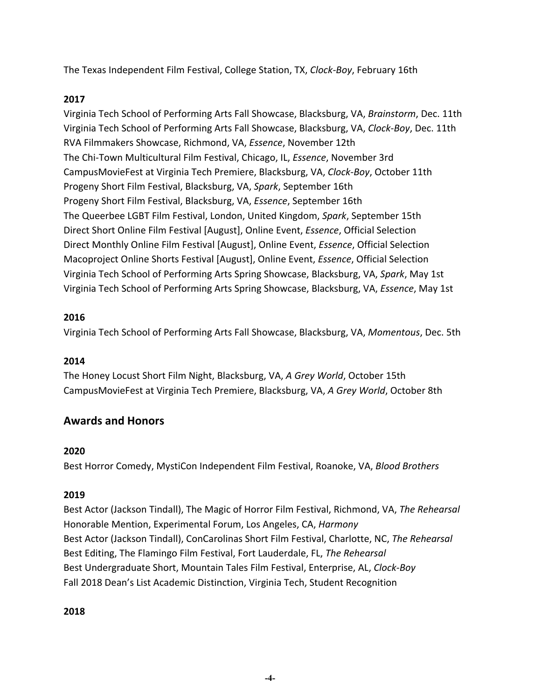The Texas Independent Film Festival, College Station, TX, *Clock-Boy*, February 16th

## **2017**

Virginia Tech School of Performing Arts Fall Showcase, Blacksburg, VA, *Brainstorm*, Dec. 11th Virginia Tech School of Performing Arts Fall Showcase, Blacksburg, VA, *Clock-Boy*, Dec. 11th RVA Filmmakers Showcase, Richmond, VA, *Essence*, November 12th The Chi-Town Multicultural Film Festival, Chicago, IL, *Essence*, November 3rd CampusMovieFest at Virginia Tech Premiere, Blacksburg, VA, *Clock-Boy*, October 11th Progeny Short Film Festival, Blacksburg, VA, *Spark*, September 16th Progeny Short Film Festival, Blacksburg, VA, *Essence*, September 16th The Queerbee LGBT Film Festival, London, United Kingdom, *Spark*, September 15th Direct Short Online Film Festival [August], Online Event, *Essence*, Official Selection Direct Monthly Online Film Festival [August], Online Event, *Essence*, Official Selection Macoproject Online Shorts Festival [August], Online Event, *Essence*, Official Selection Virginia Tech School of Performing Arts Spring Showcase, Blacksburg, VA, *Spark*, May 1st Virginia Tech School of Performing Arts Spring Showcase, Blacksburg, VA, *Essence*, May 1st

## **2016**

Virginia Tech School of Performing Arts Fall Showcase, Blacksburg, VA, *Momentous*, Dec. 5th

## **2014**

The Honey Locust Short Film Night, Blacksburg, VA, *A Grey World*, October 15th CampusMovieFest at Virginia Tech Premiere, Blacksburg, VA, *A Grey World*, October 8th

## **Awards and Honors**

## **2020**

Best Horror Comedy, MystiCon Independent Film Festival, Roanoke, VA, *Blood Brothers*

## **2019**

Best Actor (Jackson Tindall), The Magic of Horror Film Festival, Richmond, VA, *The Rehearsal* Honorable Mention, Experimental Forum, Los Angeles, CA, *Harmony* Best Actor (Jackson Tindall), ConCarolinas Short Film Festival, Charlotte, NC, *The Rehearsal* Best Editing, The Flamingo Film Festival, Fort Lauderdale, FL, *The Rehearsal* Best Undergraduate Short, Mountain Tales Film Festival, Enterprise, AL, *Clock-Boy* Fall 2018 Dean's List Academic Distinction, Virginia Tech, Student Recognition

**2018**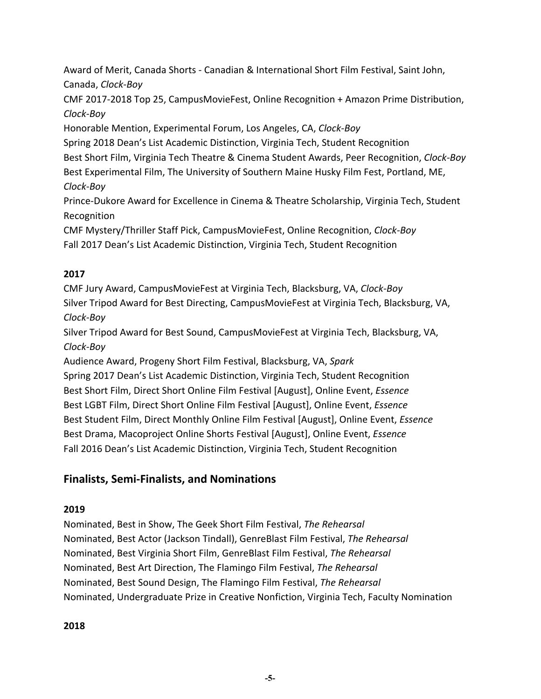Award of Merit, Canada Shorts - Canadian & International Short Film Festival, Saint John, Canada, *Clock-Boy*

CMF 2017-2018 Top 25, CampusMovieFest, Online Recognition + Amazon Prime Distribution, *Clock-Boy*

Honorable Mention, Experimental Forum, Los Angeles, CA, *Clock-Boy*

Spring 2018 Dean's List Academic Distinction, Virginia Tech, Student Recognition

Best Short Film, Virginia Tech Theatre & Cinema Student Awards, Peer Recognition, *Clock-Boy*

Best Experimental Film, The University of Southern Maine Husky Film Fest, Portland, ME, *Clock-Boy*

Prince-Dukore Award for Excellence in Cinema & Theatre Scholarship, Virginia Tech, Student Recognition

CMF Mystery/Thriller Staff Pick, CampusMovieFest, Online Recognition, *Clock-Boy* Fall 2017 Dean's List Academic Distinction, Virginia Tech, Student Recognition

## **2017**

CMF Jury Award, CampusMovieFest at Virginia Tech, Blacksburg, VA, *Clock-Boy* Silver Tripod Award for Best Directing, CampusMovieFest at Virginia Tech, Blacksburg, VA, *Clock-Boy*

Silver Tripod Award for Best Sound, CampusMovieFest at Virginia Tech, Blacksburg, VA, *Clock-Boy*

Audience Award, Progeny Short Film Festival, Blacksburg, VA, *Spark* Spring 2017 Dean's List Academic Distinction, Virginia Tech, Student Recognition Best Short Film, Direct Short Online Film Festival [August], Online Event, *Essence* Best LGBT Film, Direct Short Online Film Festival [August], Online Event, *Essence* Best Student Film, Direct Monthly Online Film Festival [August], Online Event, *Essence*

Best Drama, Macoproject Online Shorts Festival [August], Online Event, *Essence* Fall 2016 Dean's List Academic Distinction, Virginia Tech, Student Recognition

## **Finalists, Semi-Finalists, and Nominations**

## **2019**

Nominated, Best in Show, The Geek Short Film Festival, *The Rehearsal* Nominated, Best Actor (Jackson Tindall), GenreBlast Film Festival, *The Rehearsal* Nominated, Best Virginia Short Film, GenreBlast Film Festival, *The Rehearsal* Nominated, Best Art Direction, The Flamingo Film Festival, *The Rehearsal* Nominated, Best Sound Design, The Flamingo Film Festival, *The Rehearsal* Nominated, Undergraduate Prize in Creative Nonfiction, Virginia Tech, Faculty Nomination

## **2018**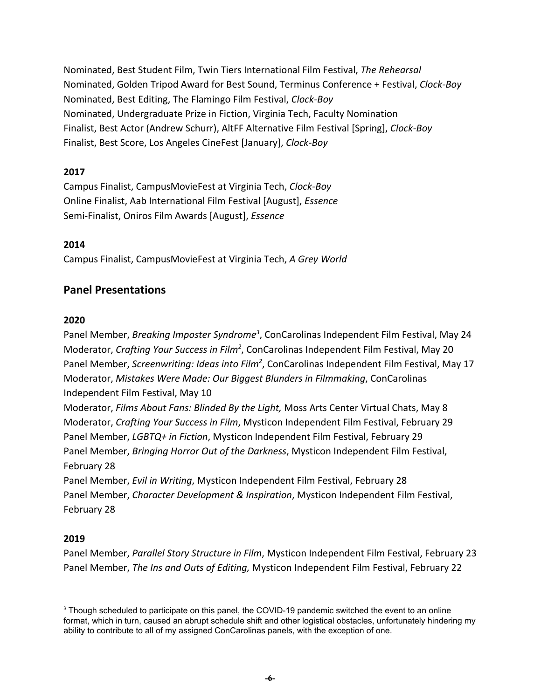Nominated, Best Student Film, Twin Tiers International Film Festival, *The Rehearsal* Nominated, Golden Tripod Award for Best Sound, Terminus Conference + Festival, *Clock-Boy* Nominated, Best Editing, The Flamingo Film Festival, *Clock-Boy* Nominated, Undergraduate Prize in Fiction, Virginia Tech, Faculty Nomination Finalist, Best Actor (Andrew Schurr), AltFF Alternative Film Festival [Spring], *Clock-Boy* Finalist, Best Score, Los Angeles CineFest [January], *Clock-Boy*

## **2017**

Campus Finalist, CampusMovieFest at Virginia Tech, *Clock-Boy* Online Finalist, Aab International Film Festival [August], *Essence* Semi-Finalist, Oniros Film Awards [August], *Essence*

## **2014**

Campus Finalist, CampusMovieFest at Virginia Tech, *A Grey World*

## **Panel Presentations**

## **2020**

Panel Member, *Breaking Imposter Syndrome<sup>3</sup>*, ConCarolinas Independent Film Festival, May 24 Moderator, *Crafting Your Success in Film<sup>2</sup>*, ConCarolinas Independent Film Festival, May 20 Panel Member, *Screenwriting: Ideas into Film<sup>2</sup>*, ConCarolinas Independent Film Festival, May 17 Moderator, *Mistakes Were Made: Our Biggest Blunders in Filmmaking*, ConCarolinas Independent Film Festival, May 10

Moderator, *Films About Fans: Blinded By the Light,* Moss Arts Center Virtual Chats, May 8 Moderator, *Crafting Your Success in Film*, Mysticon Independent Film Festival, February 29 Panel Member, *LGBTQ+ in Fiction*, Mysticon Independent Film Festival, February 29 Panel Member, *Bringing Horror Out of the Darkness*, Mysticon Independent Film Festival, February 28

Panel Member, *Evil in Writing*, Mysticon Independent Film Festival, February 28 Panel Member, *Character Development & Inspiration*, Mysticon Independent Film Festival, February 28

## **2019**

Panel Member, *Parallel Story Structure in Film*, Mysticon Independent Film Festival, February 23 Panel Member, *The Ins and Outs of Editing,* Mysticon Independent Film Festival, February 22

<sup>&</sup>lt;sup>3</sup> Though scheduled to participate on this panel, the COVID-19 pandemic switched the event to an online format, which in turn, caused an abrupt schedule shift and other logistical obstacles, unfortunately hindering my ability to contribute to all of my assigned ConCarolinas panels, with the exception of one.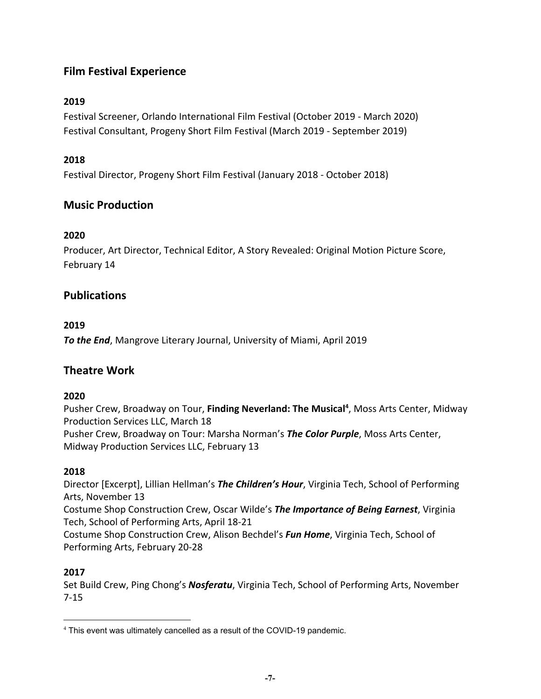## **Film Festival Experience**

## **2019**

Festival Screener, Orlando International Film Festival (October 2019 - March 2020) Festival Consultant, Progeny Short Film Festival (March 2019 - September 2019)

## **2018**

Festival Director, Progeny Short Film Festival (January 2018 - October 2018)

## **Music Production**

## **2020**

Producer, Art Director, Technical Editor, A Story Revealed: Original Motion Picture Score, February 14

## **Publications**

## **2019**

*To the End*, Mangrove Literary Journal, University of Miami, April 2019

## **Theatre Work**

## **2020**

Pusher Crew, Broadway on Tour, **Finding Neverland: The Musical<sup>4</sup>,** Moss Arts Center, Midway Production Services LLC, March 18 Pusher Crew, Broadway on Tour: Marsha Norman's *The Color Purple*, Moss Arts Center, Midway Production Services LLC, February 13

## **2018**

Director [Excerpt], Lillian Hellman's *The Children's Hour*, Virginia Tech, School of Performing Arts, November 13

Costume Shop Construction Crew, Oscar Wilde's *The Importance of Being Earnest*, Virginia Tech, School of Performing Arts, April 18-21

Costume Shop Construction Crew, Alison Bechdel's *Fun Home*, Virginia Tech, School of Performing Arts, February 20-28

## **2017**

Set Build Crew, Ping Chong's *Nosferatu*, Virginia Tech, School of Performing Arts, November 7-15

<sup>4</sup> This event was ultimately cancelled as a result of the COVID-19 pandemic.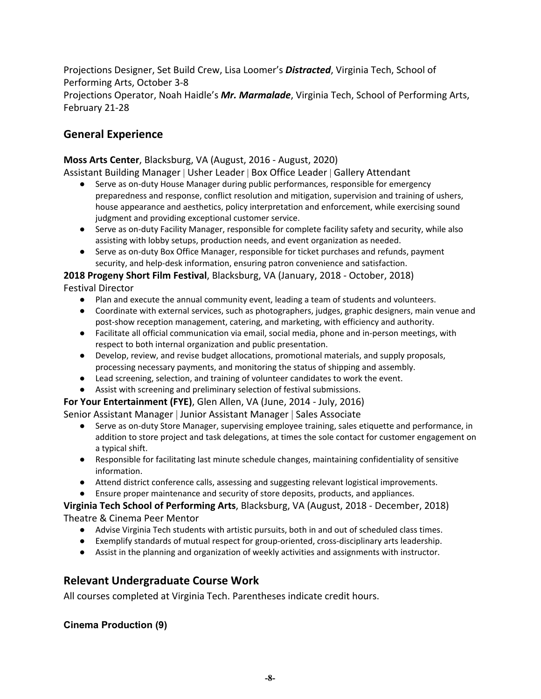Projections Designer, Set Build Crew, Lisa Loomer's *Distracted*, Virginia Tech, School of Performing Arts, October 3-8 Projections Operator, Noah Haidle's *Mr. Marmalade*, Virginia Tech, School of Performing Arts, February 21-28

## **General Experience**

## **Moss Arts Center**, Blacksburg, VA (August, 2016 - August, 2020)

Assistant Building Manager | Usher Leader | Box Office Leader | Gallery Attendant

- Serve as on-duty House Manager during public performances, responsible for emergency preparedness and response, conflict resolution and mitigation, supervision and training of ushers, house appearance and aesthetics, policy interpretation and enforcement, while exercising sound judgment and providing exceptional customer service.
- Serve as on-duty Facility Manager, responsible for complete facility safety and security, while also assisting with lobby setups, production needs, and event organization as needed.
- Serve as on-duty Box Office Manager, responsible for ticket purchases and refunds, payment security, and help-desk information, ensuring patron convenience and satisfaction.

**2018 Progeny Short Film Festival**, Blacksburg, VA (January, 2018 - October, 2018) Festival Director

- Plan and execute the annual community event, leading a team of students and volunteers.
- Coordinate with external services, such as photographers, judges, graphic designers, main venue and post-show reception management, catering, and marketing, with efficiency and authority.
- Facilitate all official communication via email, social media, phone and in-person meetings, with respect to both internal organization and public presentation.
- Develop, review, and revise budget allocations, promotional materials, and supply proposals, processing necessary payments, and monitoring the status of shipping and assembly.
- Lead screening, selection, and training of volunteer candidates to work the event.
- Assist with screening and preliminary selection of festival submissions.

**For Your Entertainment (FYE)**, Glen Allen, VA (June, 2014 - July, 2016)

Senior Assistant Manager | Junior Assistant Manager | Sales Associate

- Serve as on-duty Store Manager, supervising employee training, sales etiquette and performance, in addition to store project and task delegations, at times the sole contact for customer engagement on a typical shift.
- Responsible for facilitating last minute schedule changes, maintaining confidentiality of sensitive information.
- Attend district conference calls, assessing and suggesting relevant logistical improvements.

● Ensure proper maintenance and security of store deposits, products, and appliances.

## **Virginia Tech School of Performing Arts**, Blacksburg, VA (August, 2018 - December, 2018) Theatre & Cinema Peer Mentor

- Advise Virginia Tech students with artistic pursuits, both in and out of scheduled class times.
- Exemplify standards of mutual respect for group-oriented, cross-disciplinary arts leadership.
- Assist in the planning and organization of weekly activities and assignments with instructor.

## **Relevant Undergraduate Course Work**

All courses completed at Virginia Tech. Parentheses indicate credit hours.

## **Cinema Production (9)**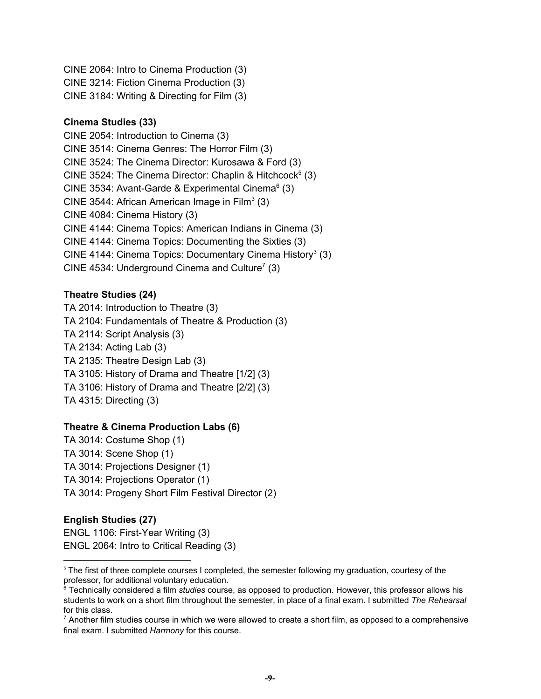CINE 2064: Intro to Cinema Production (3) CINE 3214: Fiction Cinema Production (3) CINE 3184: Writing & Directing for Film (3)

#### **Cinema Studies (33)**

CINE 2054: Introduction to Cinema (3) CINE 3514: Cinema Genres: The Horror Film (3) CINE 3524: The Cinema Director: Kurosawa & Ford (3) CINE 3524: The Cinema Director: Chaplin & Hitchcock<sup>5</sup> (3) CINE 3534: Avant-Garde & Experimental Cinema $<sup>6</sup>$  (3)</sup> CINE 3544: African American Image in Film<sup>3</sup> (3) CINE 4084: Cinema History (3) CINE 4144: Cinema Topics: American Indians in Cinema (3) CINE 4144: Cinema Topics: Documenting the Sixties (3) CINE 4144: Cinema Topics: Documentary Cinema History<sup>3</sup> (3) CINE 4534: Underground Cinema and Culture<sup>7</sup> (3)

## **Theatre Studies (24)**

TA 2014: Introduction to Theatre (3) TA 2104: Fundamentals of Theatre & Production (3) TA 2114: Script Analysis (3) TA 2134: Acting Lab (3) TA 2135: Theatre Design Lab (3) TA 3105: History of Drama and Theatre [1/2] (3) TA 3106: History of Drama and Theatre [2/2] (3) TA 4315: Directing (3)

## **Theatre & Cinema Production Labs (6)**

TA 3014: Costume Shop (1) TA 3014: Scene Shop (1) TA 3014: Projections Designer (1) TA 3014: Projections Operator (1) TA 3014: Progeny Short Film Festival Director (2)

## **English Studies (27)**

ENGL 1106: First-Year Writing (3) ENGL 2064: Intro to Critical Reading (3)

 $5$  The first of three complete courses I completed, the semester following my graduation, courtesy of the professor, for additional voluntary education.

<sup>6</sup> Technically considered a film *studies* course, as opposed to production. However, this professor allows his students to work on a short film throughout the semester, in place of a final exam. I submitted *The Rehearsal* for this class.

 $<sup>7</sup>$  Another film studies course in which we were allowed to create a short film, as opposed to a comprehensive</sup> final exam. I submitted *Harmony* for this course.